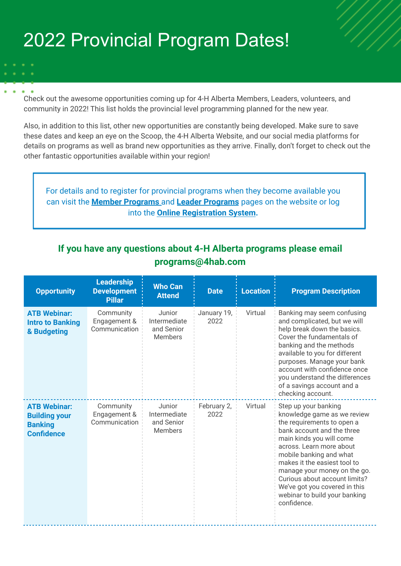## 2022 Provincial Program Dates!

Check out the awesome opportunities coming up for 4-H Alberta Members, Leaders, volunteers, and community in 2022! This list holds the provincial level programming planned for the new year.

Also, in addition to this list, other new opportunities are constantly being developed. Make sure to save these dates and keep an eye on the Scoop, the 4-H Alberta Website, and our social media platforms for details on programs as well as brand new opportunities as they arrive. Finally, don't forget to check out the other fantastic opportunities available within your region!

For details and to register for provincial programs when they become available you can visit the **[Member Programs](https://www.4hab.com/member-programs/)** and **[Leader Programs](https://www.4hab.com/leader-programs/)** pages on the website or log into the **[Online Registration System](https://www.4habregistration.ca/signin).**

## **If you have any questions about 4-H Alberta programs please email programs@4hab.com**

| <b>Opportunity</b>                                                                 | <b>Leadership</b><br><b>Development</b><br><b>Pillar</b> | <b>Who Can</b><br><b>Attend</b>                        | <b>Date</b>         | <b>Location</b> | <b>Program Description</b>                                                                                                                                                                                                                                                                                                                                                           |
|------------------------------------------------------------------------------------|----------------------------------------------------------|--------------------------------------------------------|---------------------|-----------------|--------------------------------------------------------------------------------------------------------------------------------------------------------------------------------------------------------------------------------------------------------------------------------------------------------------------------------------------------------------------------------------|
| <b>ATB Webinar:</b><br><b>Intro to Banking</b><br>& Budgeting                      | Community<br>Engagement &<br>Communication               | Junior<br>Intermediate<br>and Senior<br><b>Members</b> | January 19,<br>2022 | Virtual         | Banking may seem confusing<br>and complicated, but we will<br>help break down the basics.<br>Cover the fundamentals of<br>banking and the methods<br>available to you for different<br>purposes. Manage your bank<br>account with confidence once<br>you understand the differences<br>of a savings account and a<br>checking account.                                               |
| <b>ATB Webinar:</b><br><b>Building your</b><br><b>Banking</b><br><b>Confidence</b> | Community<br>Engagement &<br>Communication               | Junior<br>Intermediate<br>and Senior<br><b>Members</b> | February 2,<br>2022 | Virtual         | Step up your banking<br>knowledge game as we review<br>the requirements to open a<br>bank account and the three<br>main kinds you will come<br>across. Learn more about<br>mobile banking and what<br>makes it the easiest tool to<br>manage your money on the go.<br>Curious about account limits?<br>We've got you covered in this<br>webinar to build your banking<br>confidence. |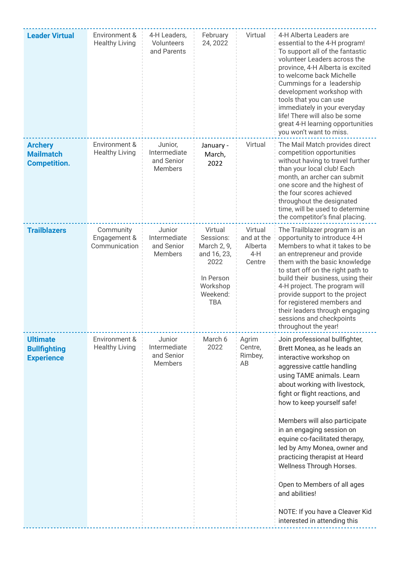| <b>Leader Virtual</b>                                       | Environment &<br><b>Healthy Living</b>     | 4-H Leaders,<br>Volunteers<br>and Parents               | February<br>24, 2022                                                                                          | Virtual                                             | 4-H Alberta Leaders are<br>essential to the 4-H program!<br>To support all of the fantastic<br>volunteer Leaders across the<br>province, 4-H Alberta is excited<br>to welcome back Michelle<br>Cummings for a leadership<br>development workshop with<br>tools that you can use<br>immediately in your everyday<br>life! There will also be some<br>great 4-H learning opportunities<br>you won't want to miss.                                                                                                                                                      |
|-------------------------------------------------------------|--------------------------------------------|---------------------------------------------------------|---------------------------------------------------------------------------------------------------------------|-----------------------------------------------------|----------------------------------------------------------------------------------------------------------------------------------------------------------------------------------------------------------------------------------------------------------------------------------------------------------------------------------------------------------------------------------------------------------------------------------------------------------------------------------------------------------------------------------------------------------------------|
| <b>Archery</b><br><b>Mailmatch</b><br><b>Competition.</b>   | Environment &<br><b>Healthy Living</b>     | Junior,<br>Intermediate<br>and Senior<br><b>Members</b> | January -<br>March,<br>2022                                                                                   | Virtual                                             | The Mail Match provides direct<br>competition opportunities<br>without having to travel further<br>than your local club! Each<br>month, an archer can submit<br>one score and the highest of<br>the four scores achieved<br>throughout the designated<br>time, will be used to determine<br>the competitor's final placing.                                                                                                                                                                                                                                          |
| <b>Trailblazers</b>                                         | Community<br>Engagement &<br>Communication | Junior<br>Intermediate<br>and Senior<br>Members         | Virtual<br>Sessions:<br>March 2, 9,<br>and 16, 23,<br>2022<br>In Person<br>Workshop<br>Weekend:<br><b>TBA</b> | Virtual<br>and at the<br>Alberta<br>$4-H$<br>Centre | The Trailblazer program is an<br>opportunity to introduce 4-H<br>Members to what it takes to be<br>an entrepreneur and provide<br>them with the basic knowledge<br>to start off on the right path to<br>build their business, using their<br>4-H project. The program will<br>provide support to the project<br>for registered members and<br>their leaders through engaging<br>sessions and checkpoints<br>throughout the year!                                                                                                                                     |
| <b>Ultimate</b><br><b>Bullfighting</b><br><b>Experience</b> | Environment &<br><b>Healthy Living</b>     | Junior<br>Intermediate<br>and Senior<br><b>Members</b>  | March 6<br>2022                                                                                               | Agrim<br>Centre,<br>Rimbey,<br>AB                   | Join professional bullfighter,<br>Brett Monea, as he leads an<br>interactive workshop on<br>aggressive cattle handling<br>using TAME animals. Learn<br>about working with livestock,<br>fight or flight reactions, and<br>how to keep yourself safe!<br>Members will also participate<br>in an engaging session on<br>equine co-facilitated therapy,<br>led by Amy Monea, owner and<br>practicing therapist at Heard<br>Wellness Through Horses.<br>Open to Members of all ages<br>and abilities!<br>NOTE: If you have a Cleaver Kid<br>interested in attending this |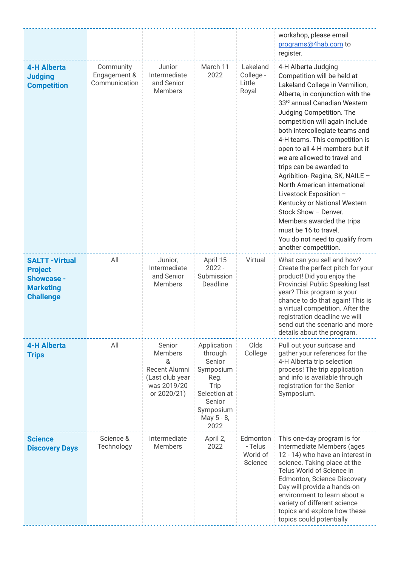|                                                                                                       |                                            |                                                                                                 |                                                                                                                            |                                            | workshop, please email<br>programs@4hab.com to<br>register.                                                                                                                                                                                                                                                                                                                                                                                                                                                                                                                                                                                                  |
|-------------------------------------------------------------------------------------------------------|--------------------------------------------|-------------------------------------------------------------------------------------------------|----------------------------------------------------------------------------------------------------------------------------|--------------------------------------------|--------------------------------------------------------------------------------------------------------------------------------------------------------------------------------------------------------------------------------------------------------------------------------------------------------------------------------------------------------------------------------------------------------------------------------------------------------------------------------------------------------------------------------------------------------------------------------------------------------------------------------------------------------------|
| <b>4-H Alberta</b><br><b>Judging</b><br><b>Competition</b>                                            | Community<br>Engagement &<br>Communication | Junior<br>Intermediate<br>and Senior<br><b>Members</b>                                          | March 11<br>2022                                                                                                           | Lakeland<br>College -<br>Little<br>Royal   | 4-H Alberta Judging<br>Competition will be held at<br>Lakeland College in Vermilion,<br>Alberta, in conjunction with the<br>33rd annual Canadian Western<br>Judging Competition. The<br>competition will again include<br>both intercollegiate teams and<br>4-H teams. This competition is<br>open to all 4-H members but if<br>we are allowed to travel and<br>trips can be awarded to<br>Agribition-Regina, SK, NAILE -<br>North American international<br>Livestock Exposition -<br>Kentucky or National Western<br>Stock Show - Denver.<br>Members awarded the trips<br>must be 16 to travel.<br>You do not need to qualify from<br>another competition. |
| <b>SALTT - Virtual</b><br><b>Project</b><br><b>Showcase -</b><br><b>Marketing</b><br><b>Challenge</b> | All                                        | Junior,<br>Intermediate<br>and Senior<br><b>Members</b>                                         | April 15<br>$2022 -$<br>Submission<br>Deadline                                                                             | Virtual                                    | What can you sell and how?<br>Create the perfect pitch for your<br>product! Did you enjoy the<br>Provincial Public Speaking last<br>year? This program is your<br>chance to do that again! This is<br>a virtual competition. After the<br>registration deadline we will<br>send out the scenario and more<br>details about the program.                                                                                                                                                                                                                                                                                                                      |
| <b>4-H Alberta</b><br><b>Trips</b>                                                                    | All                                        | Senior<br><b>Members</b><br>&<br>Recent Alumni<br>(Last club year<br>was 2019/20<br>or 2020/21) | Application<br>through<br>Senior<br>Symposium<br>Reg.<br>Trip<br>Selection at<br>Senior<br>Symposium<br>May 5 - 8,<br>2022 | Olds<br>College                            | Pull out your suitcase and<br>gather your references for the<br>4-H Alberta trip selection<br>process! The trip application<br>and info is available through<br>registration for the Senior<br>Symposium.                                                                                                                                                                                                                                                                                                                                                                                                                                                    |
| <b>Science</b><br><b>Discovery Days</b>                                                               | Science &<br>Technology                    | Intermediate<br><b>Members</b>                                                                  | April 2,<br>2022                                                                                                           | Edmonton<br>- Telus<br>World of<br>Science | This one-day program is for<br>Intermediate Members (ages<br>12 - 14) who have an interest in<br>science. Taking place at the<br>Telus World of Science in<br>Edmonton, Science Discovery<br>Day will provide a hands-on<br>environment to learn about a<br>variety of different science<br>topics and explore how these<br>topics could potentially                                                                                                                                                                                                                                                                                                         |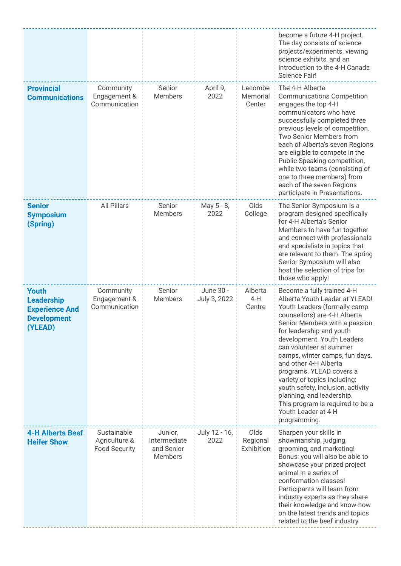|                                                                                             |                                                      |                                                         |                           |                                | become a future 4-H project.<br>The day consists of science<br>projects/experiments, viewing<br>science exhibits, and an<br>introduction to the 4-H Canada<br><b>Science Fair!</b>                                                                                                                                                                                                                                                                                                                                     |
|---------------------------------------------------------------------------------------------|------------------------------------------------------|---------------------------------------------------------|---------------------------|--------------------------------|------------------------------------------------------------------------------------------------------------------------------------------------------------------------------------------------------------------------------------------------------------------------------------------------------------------------------------------------------------------------------------------------------------------------------------------------------------------------------------------------------------------------|
| <b>Provincial</b><br><b>Communications</b>                                                  | Community<br>Engagement &<br>Communication           | Senior<br><b>Members</b>                                | April 9,<br>2022          | Lacombe<br>Memorial<br>Center  | The 4-H Alberta<br><b>Communications Competition</b><br>engages the top 4-H<br>communicators who have<br>successfully completed three<br>previous levels of competition.<br>Two Senior Members from<br>each of Alberta's seven Regions<br>are eligible to compete in the<br>Public Speaking competition,<br>while two teams (consisting of<br>one to three members) from<br>each of the seven Regions<br>participate in Presentations.                                                                                 |
| <b>Senior</b><br><b>Symposium</b><br>(Spring)                                               | <b>All Pillars</b>                                   | Senior<br><b>Members</b>                                | May 5 - 8,<br>2022        | Olds<br>College                | The Senior Symposium is a<br>program designed specifically<br>for 4-H Alberta's Senior<br>Members to have fun together<br>and connect with professionals<br>and specialists in topics that<br>are relevant to them. The spring<br>Senior Symposium will also<br>host the selection of trips for<br>those who apply!                                                                                                                                                                                                    |
| <b>Youth</b><br><b>Leadership</b><br><b>Experience And</b><br><b>Development</b><br>(YLEAD) | Community<br>Engagement &<br>Communication           | Senior<br><b>Members</b>                                | June 30 -<br>July 3, 2022 | Alberta<br>$4-H$<br>Centre     | Become a fully trained 4-H<br>Alberta Youth Leader at YLEAD!<br>Youth Leaders (formally camp<br>counsellors) are 4-H Alberta<br>Senior Members with a passion<br>for leadership and youth<br>development. Youth Leaders<br>can volunteer at summer<br>camps, winter camps, fun days,<br>and other 4-H Alberta<br>programs. YLEAD covers a<br>variety of topics including:<br>youth safety, inclusion, activity<br>planning, and leadership.<br>This program is required to be a<br>Youth Leader at 4-H<br>programming. |
| <b>4-H Alberta Beef</b><br><b>Heifer Show</b>                                               | Sustainable<br>Agriculture &<br><b>Food Security</b> | Junior,<br>Intermediate<br>and Senior<br><b>Members</b> | July 12 - 16,<br>2022     | Olds<br>Regional<br>Exhibition | Sharpen your skills in<br>showmanship, judging,<br>grooming, and marketing!<br>Bonus: you will also be able to<br>showcase your prized project<br>animal in a series of<br>conformation classes!<br>Participants will learn from<br>industry experts as they share<br>their knowledge and know-how<br>on the latest trends and topics<br>related to the beef industry.                                                                                                                                                 |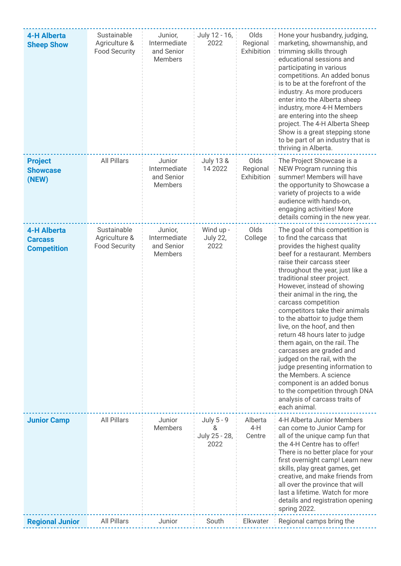| <b>4-H Alberta</b><br><b>Sheep Show</b>                    | Sustainable<br>Agriculture &<br><b>Food Security</b> | Junior,<br>Intermediate<br>and Senior<br>Members        | July 12 - 16,<br>2022                    | Olds<br>Regional<br>Exhibition | Hone your husbandry, judging,<br>marketing, showmanship, and<br>trimming skills through<br>educational sessions and<br>participating in various<br>competitions. An added bonus<br>is to be at the forefront of the<br>industry. As more producers<br>enter into the Alberta sheep<br>industry, more 4-H Members<br>are entering into the sheep<br>project. The 4-H Alberta Sheep<br>Show is a great stepping stone<br>to be part of an industry that is<br>thriving in Alberta.                                                                                                                                                                                                                                                   |
|------------------------------------------------------------|------------------------------------------------------|---------------------------------------------------------|------------------------------------------|--------------------------------|------------------------------------------------------------------------------------------------------------------------------------------------------------------------------------------------------------------------------------------------------------------------------------------------------------------------------------------------------------------------------------------------------------------------------------------------------------------------------------------------------------------------------------------------------------------------------------------------------------------------------------------------------------------------------------------------------------------------------------|
| <b>Project</b><br><b>Showcase</b><br>(NEW)                 | <b>All Pillars</b>                                   | Junior<br>Intermediate<br>and Senior<br><b>Members</b>  | <b>July 13 &amp;</b><br>14 2022          | Olds<br>Regional<br>Exhibition | The Project Showcase is a<br>NEW Program running this<br>summer! Members will have<br>the opportunity to Showcase a<br>variety of projects to a wide<br>audience with hands-on,<br>engaging activities! More<br>details coming in the new year.                                                                                                                                                                                                                                                                                                                                                                                                                                                                                    |
| <b>4-H Alberta</b><br><b>Carcass</b><br><b>Competition</b> | Sustainable<br>Agriculture &<br><b>Food Security</b> | Junior,<br>Intermediate<br>and Senior<br><b>Members</b> | Wind up -<br><b>July 22,</b><br>2022     | Olds<br>College                | The goal of this competition is<br>to find the carcass that<br>provides the highest quality<br>beef for a restaurant. Members<br>raise their carcass steer<br>throughout the year, just like a<br>traditional steer project.<br>However, instead of showing<br>their animal in the ring, the<br>carcass competition<br>competitors take their animals<br>to the abattoir to judge them<br>live, on the hoof, and then<br>return 48 hours later to judge<br>them again, on the rail. The<br>carcasses are graded and<br>judged on the rail, with the<br>judge presenting information to<br>the Members. A science<br>component is an added bonus<br>to the competition through DNA<br>analysis of carcass traits of<br>each animal. |
| <b>Junior Camp</b>                                         | <b>All Pillars</b>                                   | Junior<br><b>Members</b>                                | July 5 - 9<br>&<br>July 25 - 28,<br>2022 | Alberta<br>4-H<br>Centre       | 4-H Alberta Junior Members<br>can come to Junior Camp for<br>all of the unique camp fun that<br>the 4-H Centre has to offer!<br>There is no better place for your<br>first overnight camp! Learn new<br>skills, play great games, get<br>creative, and make friends from<br>all over the province that will<br>last a lifetime. Watch for more<br>details and registration opening<br>spring 2022.                                                                                                                                                                                                                                                                                                                                 |
| <b>Regional Junior</b>                                     | <b>All Pillars</b>                                   | Junior                                                  | South                                    | Elkwater                       | Regional camps bring the                                                                                                                                                                                                                                                                                                                                                                                                                                                                                                                                                                                                                                                                                                           |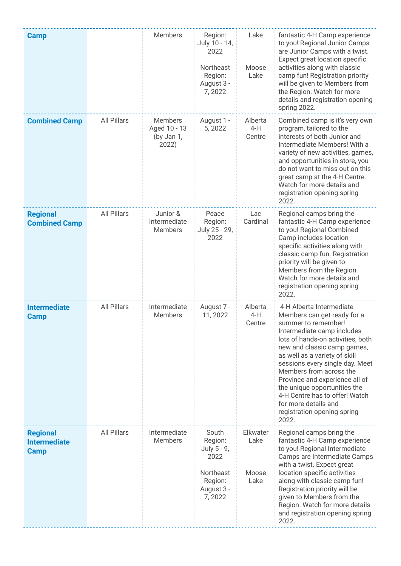| <b>Camp</b>                                           |                    | <b>Members</b>                                        | Region:<br>July 10 - 14,<br>2022<br>Northeast<br>Region:<br>August 3 -<br>7,2022        | Lake<br>Moose<br>Lake             | fantastic 4-H Camp experience<br>to you! Regional Junior Camps<br>are Junior Camps with a twist.<br>Expect great location specific<br>activities along with classic<br>camp fun! Registration priority<br>will be given to Members from<br>the Region. Watch for more<br>details and registration opening<br>spring 2022.                                                                                                                           |
|-------------------------------------------------------|--------------------|-------------------------------------------------------|-----------------------------------------------------------------------------------------|-----------------------------------|-----------------------------------------------------------------------------------------------------------------------------------------------------------------------------------------------------------------------------------------------------------------------------------------------------------------------------------------------------------------------------------------------------------------------------------------------------|
| <b>Combined Camp</b>                                  | <b>All Pillars</b> | <b>Members</b><br>Aged 10 - 13<br>(by Jan 1,<br>2022) | August 1 -<br>5,2022                                                                    | Alberta<br>$4-H$<br>Centre        | Combined camp is it's very own<br>program, tailored to the<br>interests of both Junior and<br>Intermediate Members! With a<br>variety of new activities, games,<br>and opportunities in store, you<br>do not want to miss out on this<br>great camp at the 4-H Centre.<br>Watch for more details and<br>registration opening spring<br>2022.                                                                                                        |
| <b>Regional</b><br><b>Combined Camp</b>               | All Pillars        | Junior &<br>Intermediate<br><b>Members</b>            | Peace<br>Region:<br>July 25 - 29,<br>2022                                               | Lac<br>Cardinal                   | Regional camps bring the<br>fantastic 4-H Camp experience<br>to you! Regional Combined<br>Camp includes location<br>specific activities along with<br>classic camp fun. Registration<br>priority will be given to<br>Members from the Region.<br>Watch for more details and<br>registration opening spring<br>2022.                                                                                                                                 |
| <b>Intermediate</b><br>Camp                           | <b>All Pillars</b> | Intermediate<br><b>Members</b>                        | August 7 -<br>11, 2022                                                                  | Alberta<br>$4-H$<br>Centre        | 4-H Alberta Intermediate<br>Members can get ready for a<br>summer to remember!<br>Intermediate camp includes<br>lots of hands-on activities, both<br>new and classic camp games,<br>as well as a variety of skill<br>sessions every single day. Meet<br>Members from across the<br>Province and experience all of<br>the unique opportunities the<br>4-H Centre has to offer! Watch<br>for more details and<br>registration opening spring<br>2022. |
| <b>Regional</b><br><b>Intermediate</b><br><b>Camp</b> | <b>All Pillars</b> | Intermediate<br><b>Members</b>                        | South<br>Region:<br>July 5 - 9,<br>2022<br>Northeast<br>Region:<br>August 3 -<br>7,2022 | Elkwater<br>Lake<br>Moose<br>Lake | Regional camps bring the<br>fantastic 4-H Camp experience<br>to you! Regional Intermediate<br>Camps are Intermediate Camps<br>with a twist. Expect great<br>location specific activities<br>along with classic camp fun!<br>Registration priority will be<br>given to Members from the<br>Region. Watch for more details<br>and registration opening spring<br>2022.                                                                                |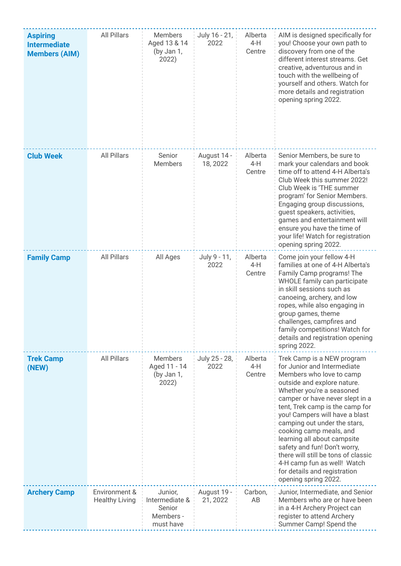| <b>Aspiring</b><br><b>Intermediate</b><br><b>Members (AIM)</b> | <b>All Pillars</b>                     | Members<br>Aged 13 & 14<br>(by Jan 1,<br>2022)                | July 16 - 21,<br>2022   | Alberta<br>$4-H$<br>Centre | AIM is designed specifically for<br>you! Choose your own path to<br>discovery from one of the<br>different interest streams. Get<br>creative, adventurous and in<br>touch with the wellbeing of<br>yourself and others. Watch for<br>more details and registration<br>opening spring 2022.                                                                                                                                                                                                                        |
|----------------------------------------------------------------|----------------------------------------|---------------------------------------------------------------|-------------------------|----------------------------|-------------------------------------------------------------------------------------------------------------------------------------------------------------------------------------------------------------------------------------------------------------------------------------------------------------------------------------------------------------------------------------------------------------------------------------------------------------------------------------------------------------------|
| <b>Club Week</b>                                               | <b>All Pillars</b>                     | Senior<br><b>Members</b>                                      | August 14 -<br>18, 2022 | Alberta<br>$4-H$<br>Centre | Senior Members, be sure to<br>mark your calendars and book<br>time off to attend 4-H Alberta's<br>Club Week this summer 2022!<br>Club Week is 'THE summer<br>program' for Senior Members.<br>Engaging group discussions,<br>guest speakers, activities,<br>games and entertainment will<br>ensure you have the time of<br>your life! Watch for registration<br>opening spring 2022.                                                                                                                               |
| <b>Family Camp</b>                                             | <b>All Pillars</b>                     | All Ages                                                      | July 9 - 11,<br>2022    | Alberta<br>$4-H$<br>Centre | Come join your fellow 4-H<br>families at one of 4-H Alberta's<br>Family Camp programs! The<br>WHOLE family can participate<br>in skill sessions such as<br>canoeing, archery, and low<br>ropes, while also engaging in<br>group games, theme<br>challenges, campfires and<br>family competitions! Watch for<br>details and registration opening<br>spring 2022.                                                                                                                                                   |
| <b>Trek Camp</b><br>(NEW)                                      | <b>All Pillars</b>                     | <b>Members</b><br>Aged 11 - 14<br>(by Jan 1,<br>2022)         | July 25 - 28,<br>2022   | Alberta<br>$4-H$<br>Centre | Trek Camp is a NEW program<br>for Junior and Intermediate<br>Members who love to camp<br>outside and explore nature.<br>Whether you're a seasoned<br>camper or have never slept in a<br>tent, Trek camp is the camp for<br>you! Campers will have a blast<br>camping out under the stars,<br>cooking camp meals, and<br>learning all about campsite<br>safety and fun! Don't worry,<br>there will still be tons of classic<br>4-H camp fun as well! Watch<br>for details and registration<br>opening spring 2022. |
| <b>Archery Camp</b>                                            | Environment &<br><b>Healthy Living</b> | Junior,<br>Intermediate &<br>Senior<br>Members -<br>must have | August 19 -<br>21, 2022 | Carbon,<br>AB              | Junior, Intermediate, and Senior<br>Members who are or have been<br>in a 4-H Archery Project can<br>register to attend Archery<br>Summer Camp! Spend the                                                                                                                                                                                                                                                                                                                                                          |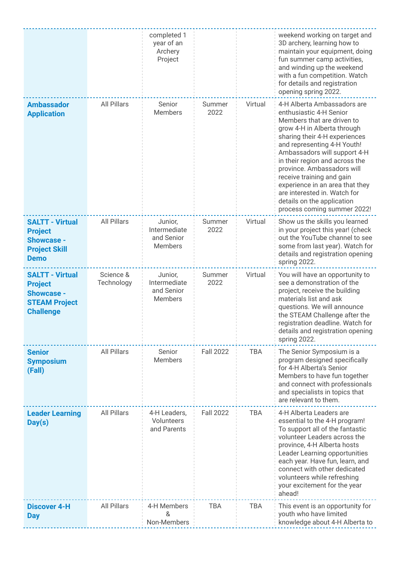|                                                                                                           |                         | completed 1<br>year of an<br>Archery<br>Project         |                  |            | weekend working on target and<br>3D archery, learning how to<br>maintain your equipment, doing<br>fun summer camp activities,<br>and winding up the weekend<br>with a fun competition. Watch<br>for details and registration<br>opening spring 2022.                                                                                                                                                                                             |
|-----------------------------------------------------------------------------------------------------------|-------------------------|---------------------------------------------------------|------------------|------------|--------------------------------------------------------------------------------------------------------------------------------------------------------------------------------------------------------------------------------------------------------------------------------------------------------------------------------------------------------------------------------------------------------------------------------------------------|
| <b>Ambassador</b><br><b>Application</b>                                                                   | <b>All Pillars</b>      | Senior<br><b>Members</b>                                | Summer<br>2022   | Virtual    | 4-H Alberta Ambassadors are<br>enthusiastic 4-H Senior<br>Members that are driven to<br>grow 4-H in Alberta through<br>sharing their 4-H experiences<br>and representing 4-H Youth!<br>Ambassadors will support 4-H<br>in their region and across the<br>province. Ambassadors will<br>receive training and gain<br>experience in an area that they<br>are interested in. Watch for<br>details on the application<br>process coming summer 2022! |
| <b>SALTT - Virtual</b><br><b>Project</b><br><b>Showcase -</b><br><b>Project Skill</b><br><b>Demo</b>      | <b>All Pillars</b>      | Junior,<br>Intermediate<br>and Senior<br><b>Members</b> | Summer<br>2022   | Virtual    | Show us the skills you learned<br>in your project this year! (check<br>out the YouTube channel to see<br>some from last year). Watch for<br>details and registration opening<br>spring 2022.                                                                                                                                                                                                                                                     |
| <b>SALTT - Virtual</b><br><b>Project</b><br><b>Showcase -</b><br><b>STEAM Project</b><br><b>Challenge</b> | Science &<br>Technology | Junior,<br>Intermediate<br>and Senior<br><b>Members</b> | Summer<br>2022   | Virtual    | You will have an opportunity to<br>see a demonstration of the<br>project, receive the building<br>materials list and ask<br>questions. We will announce<br>the STEAM Challenge after the<br>registration deadline. Watch for<br>details and registration opening<br>spring 2022.                                                                                                                                                                 |
| <b>Senior</b><br><b>Symposium</b><br>(Fall)                                                               | All Pillars             | Senior<br><b>Members</b>                                | <b>Fall 2022</b> | <b>TBA</b> | The Senior Symposium is a<br>program designed specifically<br>for 4-H Alberta's Senior<br>Members to have fun together<br>and connect with professionals<br>and specialists in topics that<br>are relevant to them.                                                                                                                                                                                                                              |
| <b>Leader Learning</b><br>Day(s)                                                                          | <b>All Pillars</b>      | 4-H Leaders,<br>Volunteers<br>and Parents               | <b>Fall 2022</b> | <b>TBA</b> | 4-H Alberta Leaders are<br>essential to the 4-H program!<br>To support all of the fantastic<br>volunteer Leaders across the<br>province, 4-H Alberta hosts<br>Leader Learning opportunities<br>each year. Have fun, learn, and<br>connect with other dedicated<br>volunteers while refreshing<br>your excitement for the year<br>ahead!                                                                                                          |
| <b>Discover 4-H</b><br><b>Day</b>                                                                         | <b>All Pillars</b>      | 4-H Members<br>&<br>Non-Members                         | <b>TBA</b>       | <b>TBA</b> | This event is an opportunity for<br>youth who have limited<br>knowledge about 4-H Alberta to                                                                                                                                                                                                                                                                                                                                                     |